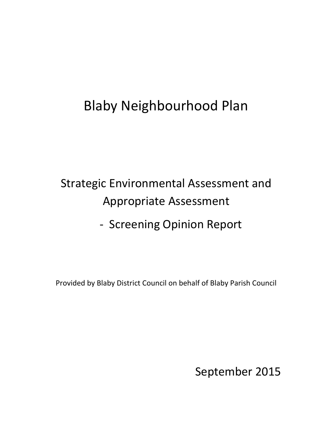# Blaby Neighbourhood Plan

# Strategic Environmental Assessment and Appropriate Assessment

- Screening Opinion Report

Provided by Blaby District Council on behalf of Blaby Parish Council

September 2015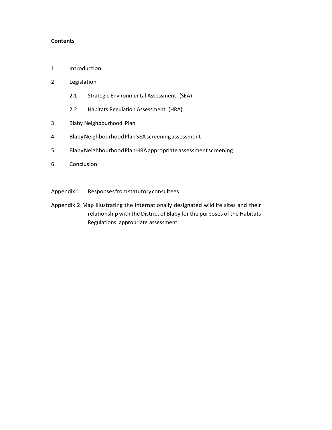#### **Contents**

- 1 Introduction
- 2 Legislation
	- 2.1 Strategic Environmental Assessment (SEA)
	- 2.2 Habitats Regulation Assessment (HRA)
- 3 Blaby Neighbourhood Plan
- 4 BlabyNeighbourhoodPlanSEAscreeningassessment
- 5 BlabyNeighbourhoodPlanHRAappropriateassessmentscreening
- 6 Conclusion
- Appendix 1 Responsesfromstatutoryconsultees
- Appendix 2 Map illustrating the internationally designated wildlife sites and their relationship with the District of Blaby for the purposes of the Habitats Regulations appropriate assessment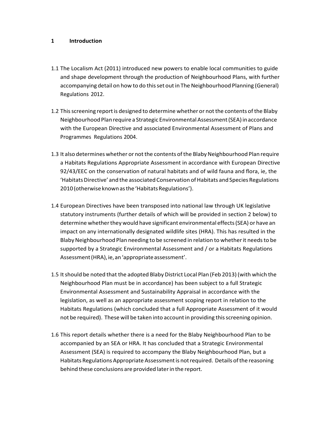#### **1 Introduction**

- 1.1 The Localism Act (2011) introduced new powers to enable local communities to guide and shape development through the production of Neighbourhood Plans, with further accompanying detail on how to do this set out in The Neighbourhood Planning (General) Regulations 2012.
- 1.2 This screening report is designed to determine whether or not the contents of the Blaby Neighbourhood Plan require a Strategic Environmental Assessment (SEA) in accordance with the European Directive and associated Environmental Assessment of Plans and Programmes Regulations 2004.
- 1.3 It also determines whether or not the contents of the Blaby Neighbourhood Plan require a Habitats Regulations Appropriate Assessment in accordance with European Directive 92/43/EEC on the conservation of natural habitats and of wild fauna and flora, ie, the 'Habitats Directive' and the associated Conservation of Habitats and Species Regulations 2010 (otherwise known as the 'Habitats Regulations').
- 1.4 European Directives have been transposed into national law through UK legislative statutory instruments (further details of which will be provided in section 2 below) to determine whether they would have significant environmental effects (SEA) or have an impact on any internationally designated wildlife sites (HRA). This has resulted in the Blaby Neighbourhood Plan needing to be screened in relation to whether it needs to be supported by a Strategic Environmental Assessment and / or a Habitats Regulations Assessment (HRA), ie, an 'appropriate assessment'.
- 1.5 Itshould be noted that the adopted Blaby District Local Plan (Feb 2013) (with which the Neighbourhood Plan must be in accordance) has been subject to a full Strategic Environmental Assessment and Sustainability Appraisal in accordance with the legislation, as well as an appropriate assessment scoping report in relation to the Habitats Regulations (which concluded that a full Appropriate Assessment of it would not be required). These will be taken into accountin providing thisscreening opinion.
- 1.6 This report details whether there is a need for the Blaby Neighbourhood Plan to be accompanied by an SEA or HRA. It has concluded that a Strategic Environmental Assessment (SEA) is required to accompany the Blaby Neighbourhood Plan, but a Habitats Regulations Appropriate Assessment is not required. Details of the reasoning behind these conclusions are provided laterin the report.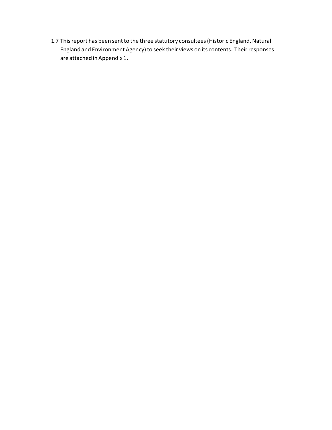1.7 This report has been sent to the three statutory consultees (Historic England, Natural England and Environment Agency) to seek their views on its contents. Their responses are attached in Appendix 1.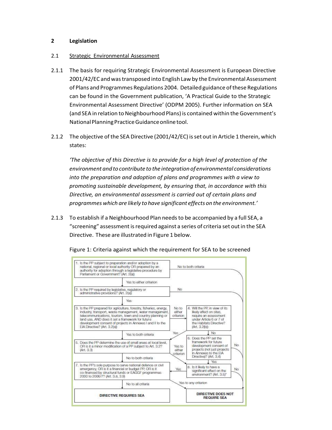#### **2 Legislation**

#### 2.1 Strategic Environmental Assessment

- 2.1.1 The basis for requiring Strategic Environmental Assessment is European Directive 2001/42/EC andwastransposed into English Lawby the Environmental Assessment of Plans and Programmes Regulations 2004. Detailed guidance ofthese Regulations can be found in the Government publication, 'A Practical Guide to the Strategic Environmental Assessment Directive' (ODPM 2005). Further information on SEA (and SEA in relation to Neighbourhood Plans) is contained within the Government's NationalPlanningPracticeGuidanceonlinetool.
- 2.1.2 The objective of the SEA Directive (2001/42/EC) is set out in Article 1 therein, which states:

*'The objective of this Directive is to provide for a high level of protection of the environment andto contribute to the integration of environmental considerations into the preparation and adoption of plans and programmes with a view to promoting sustainable development, by ensuring that, in accordance with this Directive, an environmental assessment is carried out of certain plans and programmes which are likely to have significant effects on the environment.'*

2.1.3 To establish if a Neighbourhood Plan needsto be accompanied by a full SEA, a "screening" assessment isrequired against a series of criteria set outin the SEA Directive. These are illustrated in Figure 1 below.



Figure 1: Criteria against which the requirement for SEA to be screened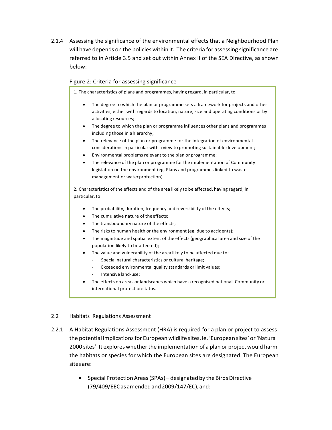2.1.4 Assessing the significance of the environmental effects that a Neighbourhood Plan will have depends on the policies within it. The criteria for assessing significance are referred to in Article 3.5 and set out within Annex II of the SEA Directive, as shown below:

#### Figure 2: Criteria for assessing significance

1. The characteristics of plans and programmes, having regard, in particular, to

- The degree to which the plan or programme sets a framework for projects and other activities, either with regards to location, nature, size and operating conditions or by allocating resources;
- The degree to which the plan or programme influences other plans and programmes including those in ahierarchy;
- The relevance of the plan or programme for the integration of environmental considerations in particular with a view to promoting sustainable development;
- Environmental problems relevant to the plan or programme;
- The relevance of the plan or programme for the implementation of Community legislation on the environment (eg. Plans and programmes linked to wastemanagement or water protection)

2. Characteristics of the effects and of the area likely to be affected, having regard, in particular, to

- The probability, duration, frequency and reversibility of the effects;
- The cumulative nature of theeffects;
- The transboundary nature of the effects;
- The risks to human health or the environment (eg. due to accidents);
- The magnitude and spatial extent of the effects (geographical area and size of the population likely to beaffected);
- The value and vulnerability of the area likely to be affected due to:
	- Special natural characteristics or cultural heritage;
	- Exceeded environmental quality standards or limit values;
	- Intensive land-use;
- The effects on areas or landscapes which have a recognised national, Community or international protectionstatus.

#### 2.2 Habitats Regulations Assessment

- 2.2.1 A Habitat Regulations Assessment (HRA) is required for a plan or project to assess the potential implicationsfor European wildlife sites, ie, 'European sites' or'Natura 2000 sites'. It explores whether the implementation of a plan or project would harm the habitats or species for which the European sites are designated. The European sites are:
	- Special Protection Areas (SPAs) designated by the Birds Directive (79/409/EECas amendedand2009/147/EC),and: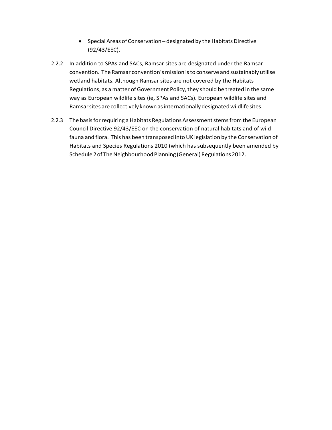- Special Areas of Conservation designated by the Habitats Directive (92/43/EEC).
- 2.2.2 In addition to SPAs and SACs, Ramsar sites are designated under the Ramsar convention. The Ramsar convention's mission is to conserve and sustainably utilise wetland habitats. Although Ramsar sites are not covered by the Habitats Regulations, as a matter of Government Policy, they should be treated in the same way as European wildlife sites (ie, SPAs and SACs). European wildlife sites and Ramsarsites are collectively knownasinternationallydesignatedwildlifesites.
- 2.2.3 The basis for requiring a Habitats Regulations Assessment stems from the European Council Directive 92/43/EEC on the conservation of natural habitats and of wild fauna and flora. This has been transposed into UK legislation by the Conservation of Habitats and Species Regulations 2010 (which has subsequently been amended by Schedule 2 of The Neighbourhood Planning (General) Regulations 2012.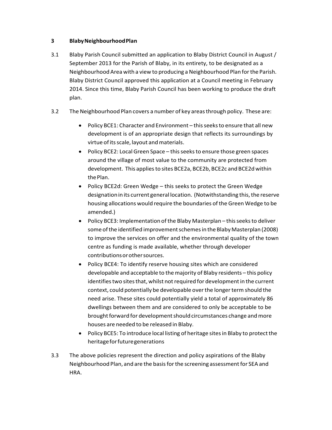#### **3 BlabyNeighbourhoodPlan**

- 3.1 Blaby Parish Council submitted an application to Blaby District Council in August / September 2013 for the Parish of Blaby, in its entirety, to be designated as a NeighbourhoodArea with a view to producing a Neighbourhood Plan forthe Parish. Blaby District Council approved this application at a Council meeting in February 2014. Since this time, Blaby Parish Council has been working to produce the draft plan.
- 3.2 TheNeighbourhood Plan covers a number of key areasthrough policy. These are:
	- Policy BCE1: Character and Environment this seeks to ensure that all new development is of an appropriate design that reflects its surroundings by virtue of its scale, layout and materials.
	- Policy BCE2: Local Green Space this seeks to ensure those green spaces around the village of most value to the community are protected from development. This applies to sites BCE2a, BCE2b, BCE2c and BCE2d within the Plan.
	- Policy BCE2d: Green Wedge this seeks to protect the Green Wedge designation in its current general location. (Notwithstanding this, the reserve housing allocations would require the boundaries ofthe Green Wedge to be amended.)
	- Policy BCE3: Implementation of the Blaby Masterplan this seeks to deliver some of the identified improvement schemes in the Blaby Masterplan (2008) to improve the services on offer and the environmental quality of the town centre as funding is made available, whether through developer contributionsorothersources.
	- Policy BCE4: To identify reserve housing sites which are considered developable and acceptable to themajority of Blaby residents – this policy identifies two sites that, whilst not required for development in the current context, could potentially be developable overthe longerterm should the need arise. These sites could potentially yield a total of approximately 86 dwellings between them and are considered to only be acceptable to be brought forward for development should circumstances change and more houses are needed to be released in Blaby.
	- Policy BCE5: To introduce local listing of heritage sites in Blaby to protect the heritageforfuturegenerations
- 3.3 The above policies represent the direction and policy aspirations of the Blaby Neighbourhood Plan, and are the basis for the screening assessment for SEA and HRA.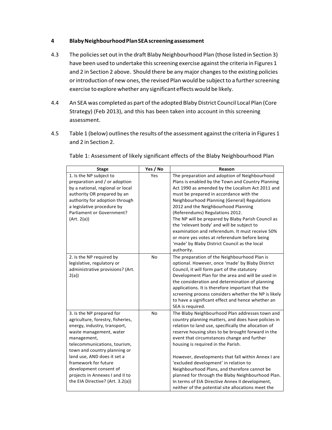#### **4 BlabyNeighbourhoodPlanSEAscreeningassessment**

- 4.3 The policies set out in the draft Blaby Neighbourhood Plan (those listed in Section 3) have been used to undertake this screening exercise against the criteria in Figures 1 and 2 in Section 2 above. Should there be any major changes to the existing policies or introduction of new ones, the revised Plan would be subject to a further screening exercise to explore whether any significanteffectswould be likely.
- 4.4 An SEA was completed as part of the adopted Blaby District Council Local Plan (Core Strategy) (Feb 2013), and this has been taken into account in this screening assessment.
- 4.5 Table 1 (below) outlinesthe results ofthe assessment againstthe criteria in Figures 1 and 2 in Section 2.

| <b>Stage</b>                                                                                                                                                                                                                                                                                                                                                     | Yes / No | Reason                                                                                                                                                                                                                                                                                                                                                                                                                                                                                                                                                                                                                 |
|------------------------------------------------------------------------------------------------------------------------------------------------------------------------------------------------------------------------------------------------------------------------------------------------------------------------------------------------------------------|----------|------------------------------------------------------------------------------------------------------------------------------------------------------------------------------------------------------------------------------------------------------------------------------------------------------------------------------------------------------------------------------------------------------------------------------------------------------------------------------------------------------------------------------------------------------------------------------------------------------------------------|
| 1. Is the NP subject to<br>preparation and / or adoption<br>by a national, regional or local<br>authority OR prepared by an<br>authority for adoption through<br>a legislative procedure by<br>Parliament or Government?<br>(Art. 2(a))                                                                                                                          | Yes      | The preparation and adoption of Neighbourhood<br>Plans is enabled by the Town and Country Planning<br>Act 1990 as amended by the Localism Act 2011 and<br>must be prepared in accordance with the<br>Neighbourhood Planning (General) Regulations<br>2012 and the Neighbourhood Planning<br>(Referendums) Regulations 2012.<br>The NP will be prepared by Blaby Parish Council as<br>the 'relevant body' and will be subject to<br>examination and referendum. It must receive 50%<br>or more yes votes at referendum before being<br>'made' by Blaby District Council as the local<br>authority.                      |
| 2. Is the NP required by<br>legislative, regulatory or<br>administrative provisions? (Art.<br>2(a)                                                                                                                                                                                                                                                               | No       | The preparation of the Neighbourhood Plan is<br>optional. However, once 'made' by Blaby District<br>Council, it will form part of the statutory<br>Development Plan for the area and will be used in<br>the consideration and determination of planning<br>applications. It is therefore important that the<br>screening process considers whether the NP is likely<br>to have a significant effect and hence whether an<br>SEA is required.                                                                                                                                                                           |
| 3. Is the NP prepared for<br>agriculture, forestry, fisheries,<br>energy, industry, transport,<br>waste management, water<br>management,<br>telecommunications, tourism,<br>town and country planning or<br>land use, AND does it set a<br>framework for future<br>development consent of<br>projects in Annexes I and II to<br>the EIA Directive? (Art. 3.2(a)) | No       | The Blaby Neighbourhood Plan addresses town and<br>country planning matters, and does have policies in<br>relation to land use, specifically the allocation of<br>reserve housing sites to be brought forward in the<br>event that circumstances change and further<br>housing is required in the Parish.<br>However, developments that fall within Annex I are<br>'excluded development' in relation to<br>Neighbourhood Plans, and therefore cannot be<br>planned for through the Blaby Neighbourhood Plan.<br>In terms of EIA Directive Annex II development,<br>neither of the potential site allocations meet the |

Table 1: Assessment of likely significant effects of the Blaby Neighbourhood Plan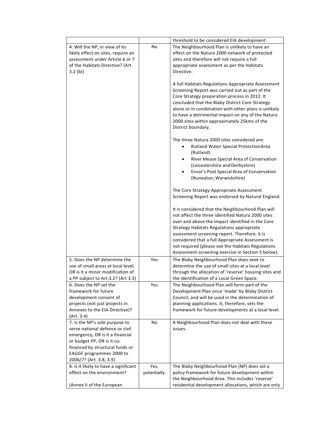| 4. Will the NP, in view of its<br>likely effect on sites, require an<br>assessment under Article 6 or 7<br>of the Habitats Directive? (Art.<br>3.2(b)                                                                        | No                  | threshold to be considered EIA development.<br>The Neighbourhood Plan is unlikely to have an<br>effect on the Natura 2000 network of protected<br>sites and therefore will not require a full<br>appropriate assessment as per the Habitats<br>Directive.<br>A full Habitats Regulations Appropriate Assessment<br>Screening Report was carried out as part of the<br>Core Strategy preparation process in 2012. It<br>concluded that the Blaby District Core Strategy<br>alone or in combination with other plans is unlikely<br>to have a detrimental impact on any of the Natura<br>2000 sites within approximately 25kms of the<br>District boundary.<br>The three Natura 2000 sites considered are:<br>Rutland Water Special Protection Area<br>(Rutland)<br>River Mease Special Area of Conservation<br>٠<br>(Leicestershire and Derbyshire)<br>Ensor's Pool Special Area of Conservation<br>$\bullet$<br>(Nuneaton, Warwickshire)<br>The Core Strategy Appropriate Assessment<br>Screening Report was endorsed by Natural England.<br>It is considered that the Neighbourhood Plan will<br>not affect the three identified Natura 2000 sites<br>over and above the impact identified in the Core<br><b>Strategy Habitats Regulations appropriate</b><br>assessment screening report. Therefore, it is |
|------------------------------------------------------------------------------------------------------------------------------------------------------------------------------------------------------------------------------|---------------------|--------------------------------------------------------------------------------------------------------------------------------------------------------------------------------------------------------------------------------------------------------------------------------------------------------------------------------------------------------------------------------------------------------------------------------------------------------------------------------------------------------------------------------------------------------------------------------------------------------------------------------------------------------------------------------------------------------------------------------------------------------------------------------------------------------------------------------------------------------------------------------------------------------------------------------------------------------------------------------------------------------------------------------------------------------------------------------------------------------------------------------------------------------------------------------------------------------------------------------------------------------------------------------------------------------------|
|                                                                                                                                                                                                                              |                     | not required (please see the Habitats Regulations                                                                                                                                                                                                                                                                                                                                                                                                                                                                                                                                                                                                                                                                                                                                                                                                                                                                                                                                                                                                                                                                                                                                                                                                                                                            |
| 5. Does the NP determine the<br>use of small areas at local level,<br>OR is it a minor modification of<br>a PP subject to Art.3.2? (Art 3.3)                                                                                 | Yes                 | Assessment screening exercise in Section 5 below).<br>The Blaby Neighbourhood Plan does seek to<br>determine the use of small sites at a local level<br>through the allocation of 'reserve' housing sites and<br>the identification of a Local Green Space.                                                                                                                                                                                                                                                                                                                                                                                                                                                                                                                                                                                                                                                                                                                                                                                                                                                                                                                                                                                                                                                  |
| 6. Does the NP set the                                                                                                                                                                                                       | Yes                 | The Neighbourhood Plan will form part of the                                                                                                                                                                                                                                                                                                                                                                                                                                                                                                                                                                                                                                                                                                                                                                                                                                                                                                                                                                                                                                                                                                                                                                                                                                                                 |
| framework for future<br>development consent of<br>projects (not just projects in<br>Annexes to the EIA Directive)?<br>(Art. 3.4)                                                                                             |                     | Development Plan once 'made' by Blaby District<br>Council, and will be used in the determination of<br>planning applications. It, therefore, sets the<br>framework for future developments at a local level.                                                                                                                                                                                                                                                                                                                                                                                                                                                                                                                                                                                                                                                                                                                                                                                                                                                                                                                                                                                                                                                                                                 |
| 7. Is the NP's sole purpose to<br>serve national defence or civil<br>emergency, OR is it a financial<br>or budget PP, OR is it co-<br>financed by structural funds or<br>EAGGF programmes 2000 to<br>2006/7? (Art. 3.8, 3.9) | No                  | A Neighbourhood Plan does not deal with these<br>issues.                                                                                                                                                                                                                                                                                                                                                                                                                                                                                                                                                                                                                                                                                                                                                                                                                                                                                                                                                                                                                                                                                                                                                                                                                                                     |
| 8. Is it likely to have a significant<br>effect on the environment?<br>(Annex II of the European                                                                                                                             | Yes,<br>potentially | The Blaby Neighbourhood Plan (NP) does set a<br>policy framework for future development within<br>the Neighbourhood Area. This includes 'reserve'<br>residential development allocations, which are only                                                                                                                                                                                                                                                                                                                                                                                                                                                                                                                                                                                                                                                                                                                                                                                                                                                                                                                                                                                                                                                                                                     |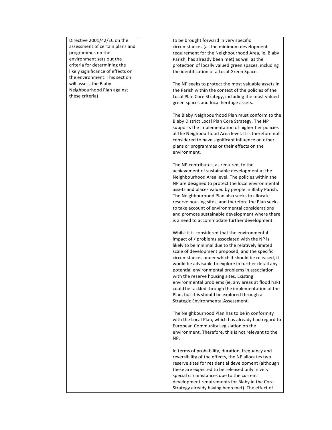| Directive 2001/42/EC on the       | to be brought forward in very specific               |
|-----------------------------------|------------------------------------------------------|
| assessment of certain plans and   | circumstances (as the minimum development            |
| programmes on the                 | requirement for the Neighbourhood Area, ie, Blaby    |
| environment sets out the          | Parish, has already been met) as well as the         |
|                                   |                                                      |
| criteria for determining the      | protection of locally valued green spaces, including |
| likely significance of effects on | the identification of a Local Green Space.           |
| the environment. This section     |                                                      |
| will assess the Blaby             | The NP seeks to protect the most valuable assets in  |
| Neighbourhood Plan against        | the Parish within the context of the policies of the |
| these criteria)                   | Local Plan Core Strategy, including the most valued  |
|                                   | green spaces and local heritage assets.              |
|                                   |                                                      |
|                                   |                                                      |
|                                   | The Blaby Neighbourhood Plan must conform to the     |
|                                   | Blaby District Local Plan Core Strategy. The NP      |
|                                   | supports the implementation of higher tier policies  |
|                                   | at the Neighbourhood Area level. It is therefore not |
|                                   | considered to have significant influence on other    |
|                                   | plans or programmes or their effects on the          |
|                                   |                                                      |
|                                   | environment.                                         |
|                                   |                                                      |
|                                   | The NP contributes, as required, to the              |
|                                   | achievement of sustainable development at the        |
|                                   | Neighbourhood Area level. The policies within the    |
|                                   | NP are designed to protect the local environmental   |
|                                   | assets and places valued by people in Blaby Parish.  |
|                                   |                                                      |
|                                   | The Neighbourhood Plan also seeks to allocate        |
|                                   | reserve housing sites, and therefore the Plan seeks  |
|                                   | to take account of environmental considerations      |
|                                   | and promote sustainable development where there      |
|                                   | is a need to accommodate further development.        |
|                                   |                                                      |
|                                   | Whilst it is considered that the environmental       |
|                                   | impact of / problems associated with the NP is       |
|                                   |                                                      |
|                                   | likely to be minimal due to the relatively limited   |
|                                   | scale of development proposed, and the specific      |
|                                   | circumstances under which it should be released, it  |
|                                   | would be advisable to explore in further detail any  |
|                                   | potential environmental problems in association      |
|                                   | with the reserve housing sites. Existing             |
|                                   | environmental problems (ie, any areas at flood risk) |
|                                   | could be tackled through the implementation of the   |
|                                   |                                                      |
|                                   | Plan, but this should be explored through a          |
|                                   | Strategic Environmental Assessment.                  |
|                                   |                                                      |
|                                   | The Neighbourhood Plan has to be in conformity       |
|                                   | with the Local Plan, which has already had regard to |
|                                   | European Community Legislation on the                |
|                                   | environment. Therefore, this is not relevant to the  |
|                                   | NP.                                                  |
|                                   |                                                      |
|                                   |                                                      |
|                                   | In terms of probability, duration, frequency and     |
|                                   | reversibility of the effects, the NP allocates two   |
|                                   | reserve sites for residential development (although  |
|                                   | these are expected to be released only in very       |
|                                   | special circumstances due to the current             |
|                                   | development requirements for Blaby in the Core       |
|                                   |                                                      |
|                                   | Strategy already having been met). The effect of     |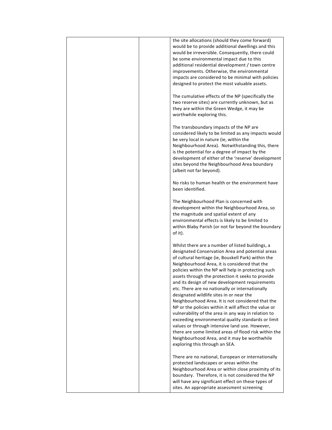| the site allocations (should they come forward)<br>would be to provide additional dwellings and this<br>would be irreversible. Consequently, there could<br>be some environmental impact due to this<br>additional residential development / town centre<br>improvements. Otherwise, the environmental<br>impacts are considered to be minimal with policies<br>designed to protect the most valuable assets.                                                                                                                                                                                                                                                                                                                                                                                                                                                                                     |
|---------------------------------------------------------------------------------------------------------------------------------------------------------------------------------------------------------------------------------------------------------------------------------------------------------------------------------------------------------------------------------------------------------------------------------------------------------------------------------------------------------------------------------------------------------------------------------------------------------------------------------------------------------------------------------------------------------------------------------------------------------------------------------------------------------------------------------------------------------------------------------------------------|
| The cumulative effects of the NP (specifically the<br>two reserve sites) are currently unknown, but as<br>they are within the Green Wedge, it may be<br>worthwhile exploring this.                                                                                                                                                                                                                                                                                                                                                                                                                                                                                                                                                                                                                                                                                                                |
| The transboundary impacts of the NP are<br>considered likely to be limited as any impacts would<br>be very local in nature (ie, within the<br>Neighbourhood Area). Notwithstanding this, there<br>is the potential for a degree of impact by the<br>development of either of the 'reserve' development<br>sites beyond the Neighbourhood Area boundary<br>(albeit not far beyond).                                                                                                                                                                                                                                                                                                                                                                                                                                                                                                                |
| No risks to human health or the environment have<br>been identified.                                                                                                                                                                                                                                                                                                                                                                                                                                                                                                                                                                                                                                                                                                                                                                                                                              |
| The Neighbourhood Plan is concerned with<br>development within the Neighbourhood Area, so<br>the magnitude and spatial extent of any<br>environmental effects is likely to be limited to<br>within Blaby Parish (or not far beyond the boundary<br>of it).                                                                                                                                                                                                                                                                                                                                                                                                                                                                                                                                                                                                                                        |
| Whilst there are a number of listed buildings, a<br>designated Conservation Area and potential areas<br>of cultural heritage (ie, Bouskell Park) within the<br>Neighbourhood Area, it is considered that the<br>policies within the NP will help in protecting such<br>assets through the protection it seeks to provide<br>and its design of new development requirements<br>etc. There are no nationally or internationally<br>designated wildlife sites in or near the<br>Neighbourhood Area. It is not considered that the<br>NP or the policies within it will affect the value or<br>vulnerability of the area in any way in relation to<br>exceeding environmental quality standards or limit<br>values or through intensive land use. However,<br>there are some limited areas of flood risk within the<br>Neighbourhood Area, and it may be worthwhile<br>exploring this through an SEA. |
| There are no national, European or internationally<br>protected landscapes or areas within the<br>Neighbourhood Area or within close proximity of its<br>boundary. Therefore, it is not considered the NP<br>will have any significant effect on these types of<br>sites. An appropriate assessment screening                                                                                                                                                                                                                                                                                                                                                                                                                                                                                                                                                                                     |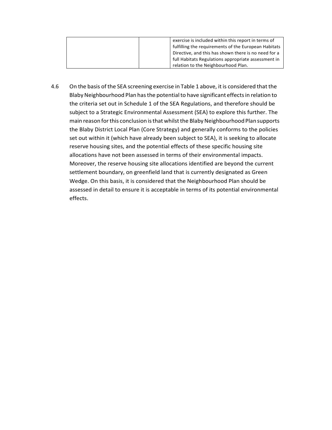| exercise is included within this report in terms of  |
|------------------------------------------------------|
| fulfilling the requirements of the European Habitats |
| Directive, and this has shown there is no need for a |
| full Habitats Regulations appropriate assessment in  |
| relation to the Neighbourhood Plan.                  |

4.6 On the basis of the SEA screening exercise in Table 1 above, it is considered that the Blaby Neighbourhood Plan has the potential to have significant effects in relation to the criteria set out in Schedule 1 of the SEA Regulations, and therefore should be subject to a Strategic Environmental Assessment (SEA) to explore this further. The main reason for this conclusion is that whilst the Blaby Neighbourhood Plan supports the Blaby District Local Plan (Core Strategy) and generally conforms to the policies set out within it (which have already been subject to SEA), it is seeking to allocate reserve housing sites, and the potential effects of these specific housing site allocations have not been assessed in terms of their environmental impacts. Moreover, the reserve housing site allocations identified are beyond the current settlement boundary, on greenfield land that is currently designated as Green Wedge. On this basis, it is considered that the Neighbourhood Plan should be assessed in detail to ensure it is acceptable in terms of its potential environmental effects.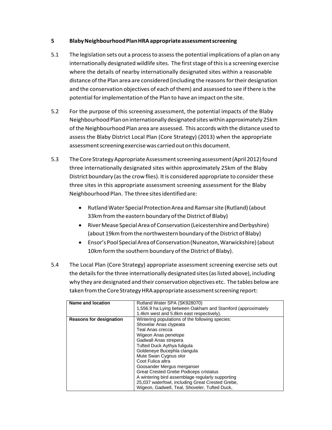#### **5 BlabyNeighbourhoodPlanHRAappropriateassessmentscreening**

- 5.1 The legislation sets out a processto assessthe potential implications of a plan on any internationally designated wildlife sites. The first stage of this is a screening exercise where the details of nearby internationally designated sites within a reasonable distance ofthe Plan area are considered (including the reasonsfortheir designation and the conservation objectives of each of them) and assessed to see if there is the potential for implementation of the Plan to have an impact on the site.
- 5.2 For the purpose of this screening assessment, the potential impacts of the Blaby Neighbourhood Planon internationally designated siteswithin approximately 25km of the Neighbourhood Plan area are assessed. This accords with the distance used to assess the Blaby District Local Plan (Core Strategy) (2013) when the appropriate assessment screening exercise was carried out on this document.
- 5.3 The Core Strategy Appropriate Assessment screening assessment (April 2012) found three internationally designated sites within approximately 25km of the Blaby District boundary (as the crow flies). It is considered appropriate to consider these three sites in this appropriate assessment screening assessment for the Blaby Neighbourhood Plan. The three sitesidentifiedare:
	- Rutland Water Special Protection Area and Ramsar site (Rutland) (about 33km from the eastern boundary of the District of Blaby)
	- River Mease Special Area of Conservation (Leicestershire and Derbyshire) (about 19km from the northwestern boundary of the District of Blaby)
	- Ensor's Pool SpecialAreaofConservation(Nuneaton,Warwickshire)(about 10km form the southern boundary of the District of Blaby).
- 5.4 The Local Plan (Core Strategy) appropriate assessment screening exercise sets out the details for the three internationally designated sites (as listed above), including why they are designated and their conservation objectives etc. The tables below are taken from the Core Strategy HRA appropriate assessment screening report:

| Name and location              | Rutland Water SPA (SK928070)                                |
|--------------------------------|-------------------------------------------------------------|
|                                | 1,556.9 ha Lying between Oakham and Stamford (approximately |
|                                | 1.4km west and 5.8km east respectively).                    |
| <b>Reasons for designation</b> | Wintering populations of the following species:             |
|                                | Shovelar Anas clypeata                                      |
|                                | Teal Anas crecca                                            |
|                                | Wigeon Anas penelope                                        |
|                                | Gadwall Anas strepera                                       |
|                                | Tufted Duck Aythya fuliqula                                 |
|                                | Goldeneye Bucephla clangula                                 |
|                                | Mute Swan Cygnus olor                                       |
|                                | Coot Fulica altra                                           |
|                                | Goosander Mergus merganser                                  |
|                                | Great Crested Grebe Podiceps cristatus                      |
|                                | A wintering bird assemblage regularly supporting            |
|                                | 25,037 waterfowl, including Great Crested Grebe,            |
|                                | Wigeon, Gadwell, Teal, Shoveler, Tufted Duck,               |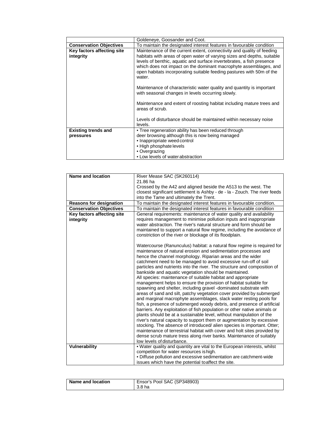|                                         | Goldeneye, Goosander and Coot.                                                                                                                                                                                                                                                                                                                                                     |
|-----------------------------------------|------------------------------------------------------------------------------------------------------------------------------------------------------------------------------------------------------------------------------------------------------------------------------------------------------------------------------------------------------------------------------------|
| <b>Conservation Objectives</b>          | To maintain the designated interest features in favourable condition                                                                                                                                                                                                                                                                                                               |
| Key factors affecting site<br>integrity | Maintenance of the current extent, connectivity and quality of feeding<br>habitats with areas of open water of varying sizes and depths, suitable<br>levels of benthic, aquatic and surface invertebrates, a fish presence<br>which does not impact on the dominant macrophyte assemblages, and<br>open habitats incorporating suitable feeding pastures with 50m of the<br>water. |
|                                         | Maintenance of characteristic water quality and quantity is important<br>with seasonal changes in levels occurring slowly.                                                                                                                                                                                                                                                         |
|                                         | Maintenance and extent of roosting habitat including mature trees and<br>areas of scrub.                                                                                                                                                                                                                                                                                           |
|                                         | Levels of disturbance should be maintained within necessary noise<br>levels.                                                                                                                                                                                                                                                                                                       |
| <b>Existing trends and</b><br>pressures | • Tree regeneration ability has been reduced through<br>deer browsing although this is now being managed<br>• Inappropriate weed control<br>• High phosphate levels<br>• Overgrazing<br>• Low levels of water abstraction                                                                                                                                                          |

| <b>Name and location</b>       | River Mease SAC (SK260114)                                                 |
|--------------------------------|----------------------------------------------------------------------------|
|                                | 21.86 ha                                                                   |
|                                | Crossed by the A42 and aligned beside the A513 to the west. The            |
|                                | closest significant settlement is Ashby - de - la - Zouch. The river feeds |
|                                | into the Tame and ultimately the Trent.                                    |
| <b>Reasons for designation</b> | To maintain the designated interest features in favourable condition.      |
| <b>Conservation Objectives</b> | To maintain the designated interest features in favourable condition       |
| Key factors affecting site     | General requirements: maintenance of water quality and availability        |
| integrity                      | requires management to minimise pollution inputs and inappropriate         |
|                                | water abstraction. The river's natural structure and form should be        |
|                                | maintained to support a natural flow regime, including the avoidance of    |
|                                | constriction of the river or blockage of its floodplain.                   |
|                                | Watercourse (Ranunculus) habitat: a natural flow regime is required for    |
|                                | maintenance of natural erosion and sedimentation processes and             |
|                                | hence the channel morphology. Riparian areas and the wider                 |
|                                | catchment need to be managed to avoid excessive run-off of soil            |
|                                | particles and nutrients into the river. The structure and composition of   |
|                                | bankside and aquatic vegetation should be maintained.                      |
|                                | All species: maintenance of suitable habitat and appropriate               |
|                                | management helps to ensure the provision of habitat suitable for           |
|                                | spawning and shelter, including gravel -dominated substrate with           |
|                                | areas of sand and silt, patchy vegetation cover provided by submerged      |
|                                | and marginal macrophyte assemblages, slack water resting pools for         |
|                                | fish, a presence of submerged woody debris, and presence of artificial     |
|                                | barriers. Any exploitation of fish population or other native animals or   |
|                                | plants should be at a sustainable level, without manipulation of the       |
|                                | river's natural capacity to support them or augmentation by excessive      |
|                                | stocking. The absence of introduced/ alien species is important. Otter;    |
|                                | maintenance of terrestrial habitat with cover and holt sites provided by   |
|                                | dense scrub mature tress along river banks. Maintenance of suitably        |
|                                | low levels of disturbance.                                                 |
| <b>Vulnerability</b>           | . Water quality and quantity are vital to the European interests, whilst   |
|                                | competition for water resources is high.                                   |
|                                | · Diffuse pollution and excessive sedimentation are catchment-wide         |
|                                | issues which have the potential to affect the site.                        |

| Name and location | Ensor's Pool SAC (SP348903)<br>3.8 ha |
|-------------------|---------------------------------------|
|-------------------|---------------------------------------|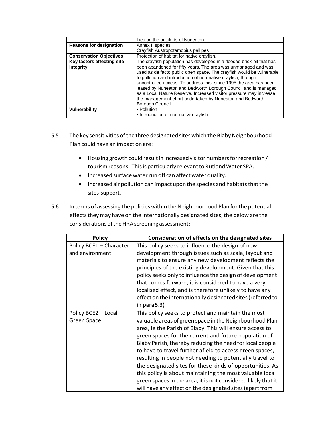|                                | Lies on the outskirts of Nuneaton.                                                                                                                                                                                                                                                                                                                                                                                                                                                                     |
|--------------------------------|--------------------------------------------------------------------------------------------------------------------------------------------------------------------------------------------------------------------------------------------------------------------------------------------------------------------------------------------------------------------------------------------------------------------------------------------------------------------------------------------------------|
| <b>Reasons for designation</b> | Annex II species:                                                                                                                                                                                                                                                                                                                                                                                                                                                                                      |
|                                | Crayfish Austropotamobius pallipes                                                                                                                                                                                                                                                                                                                                                                                                                                                                     |
| <b>Conservation Objectives</b> | Protection of habitat for native crayfish.                                                                                                                                                                                                                                                                                                                                                                                                                                                             |
| Key factors affecting site     | The crayfish population has developed in a flooded brick-pit that has                                                                                                                                                                                                                                                                                                                                                                                                                                  |
| integrity                      | been abandoned for fifty years. The area was unmanaged and was<br>used as de facto public open space. The crayfish would be vulnerable<br>to pollution and introduction of non-native crayfish, through<br>uncontrolled access. To address this, since 1995 the area has been<br>leased by Nuneaton and Bedworth Borough Council and is managed<br>as a Local Nature Reserve. Increased visitor pressure may increase<br>the management effort undertaken by Nuneaton and Bedworth<br>Borough Council. |
| Vulnerability                  | • Pollution                                                                                                                                                                                                                                                                                                                                                                                                                                                                                            |
|                                | • Introduction of non-native crayfish                                                                                                                                                                                                                                                                                                                                                                                                                                                                  |

- 5.5 The key sensitivities of the three designated sites which the Blaby Neighbourhood Plan could have an impact on are:
	- Housing growth could result in increased visitor numbers for recreation / tourism reasons. This is particularly relevant to Rutland Water SPA.
	- Increased surface waterrun off can affect water quality.
	- Increased air pollution can impact upon the species and habitats that the sites support.
- 5.6 In terms of assessing the policies within the Neighbourhood Plan for the potential effects they may have on the internationally designated sites, the below are the considerationsoftheHRAscreeningassessment:

| <b>Policy</b>                              | Consideration of effects on the designated sites                                                                                                                                                                                                                                                                                                                                                                                                                                                                                                                                                                                                                             |
|--------------------------------------------|------------------------------------------------------------------------------------------------------------------------------------------------------------------------------------------------------------------------------------------------------------------------------------------------------------------------------------------------------------------------------------------------------------------------------------------------------------------------------------------------------------------------------------------------------------------------------------------------------------------------------------------------------------------------------|
| Policy BCE1 - Character<br>and environment | This policy seeks to influence the design of new<br>development through issues such as scale, layout and<br>materials to ensure any new development reflects the<br>principles of the existing development. Given that this<br>policy seeks only to influence the design of development<br>that comes forward, it is considered to have a very<br>localised effect, and is therefore unlikely to have any<br>effect on the internationally designated sites (referred to<br>in para $5.3$ )                                                                                                                                                                                  |
| Policy BCE2 - Local<br>Green Space         | This policy seeks to protect and maintain the most<br>valuable areas of green space in the Neighbourhood Plan<br>area, ie the Parish of Blaby. This will ensure access to<br>green spaces for the current and future population of<br>Blaby Parish, thereby reducing the need for local people<br>to have to travel further afield to access green spaces,<br>resulting in people not needing to potentially travel to<br>the designated sites for these kinds of opportunities. As<br>this policy is about maintaining the most valuable local<br>green spaces in the area, it is not considered likely that it<br>will have any effect on the designated sites (apart from |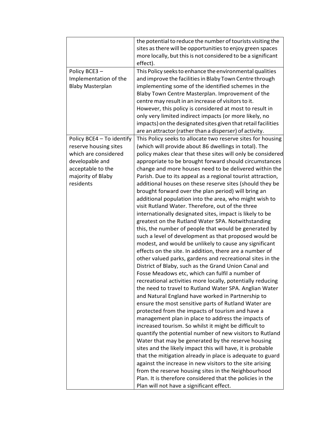| Blaby Town Centre Masterplan. Improvement of the<br>centre may result in an increase of visitors to it.<br>However, this policy is considered at most to result in<br>only very limited indirect impacts (or more likely, no<br>impacts) on the designated sites given that retail facilities<br>are an attractor (rather than a disperser) of activity.<br>Policy BCE4 - To identify<br>This Policy seeks to allocate two reserve sites for housing<br>reserve housing sites<br>(which will provide about 86 dwellings in total). The<br>which are considered<br>developable and<br>appropriate to be brought forward should circumstances<br>acceptable to the<br>change and more houses need to be delivered within the<br>majority of Blaby<br>Parish. Due to its appeal as a regional tourist attraction,<br>residents<br>additional houses on these reserve sites (should they be<br>brought forward over the plan period) will bring an<br>additional population into the area, who might wish to<br>visit Rutland Water. Therefore, out of the three<br>internationally designated sites, impact is likely to be<br>greatest on the Rutland Water SPA. Notwithstanding<br>this, the number of people that would be generated by<br>such a level of development as that proposed would be<br>modest, and would be unlikely to cause any significant<br>effects on the site. In addition, there are a number of<br>other valued parks, gardens and recreational sites in the<br>District of Blaby, such as the Grand Union Canal and<br>Fosse Meadows etc, which can fulfil a number of<br>recreational activities more locally, potentially reducing<br>the need to travel to Rutland Water SPA. Anglian Water<br>and Natural England have worked in Partnership to<br>ensure the most sensitive parts of Rutland Water are<br>protected from the impacts of tourism and have a<br>management plan in place to address the impacts of<br>increased tourism. So whilst it might be difficult to<br>quantify the potential number of new visitors to Rutland<br>Water that may be generated by the reserve housing<br>sites and the likely impact this will have, it is probable<br>that the mitigation already in place is adequate to guard<br>against the increase in new visitors to the site arising<br>from the reserve housing sites in the Neighbourhood<br>Plan. It is therefore considered that the policies in the | Policy BCE3-<br>Implementation of the<br><b>Blaby Masterplan</b> | the potential to reduce the number of tourists visiting the<br>sites as there will be opportunities to enjoy green spaces<br>more locally, but this is not considered to be a significant<br>effect).<br>This Policy seeks to enhance the environmental qualities<br>and improve the facilities in Blaby Town Centre through<br>implementing some of the identified schemes in the |
|------------------------------------------------------------------------------------------------------------------------------------------------------------------------------------------------------------------------------------------------------------------------------------------------------------------------------------------------------------------------------------------------------------------------------------------------------------------------------------------------------------------------------------------------------------------------------------------------------------------------------------------------------------------------------------------------------------------------------------------------------------------------------------------------------------------------------------------------------------------------------------------------------------------------------------------------------------------------------------------------------------------------------------------------------------------------------------------------------------------------------------------------------------------------------------------------------------------------------------------------------------------------------------------------------------------------------------------------------------------------------------------------------------------------------------------------------------------------------------------------------------------------------------------------------------------------------------------------------------------------------------------------------------------------------------------------------------------------------------------------------------------------------------------------------------------------------------------------------------------------------------------------------------------------------------------------------------------------------------------------------------------------------------------------------------------------------------------------------------------------------------------------------------------------------------------------------------------------------------------------------------------------------------------------------------------------------------------------------------------------------------------------------------------------------------|------------------------------------------------------------------|------------------------------------------------------------------------------------------------------------------------------------------------------------------------------------------------------------------------------------------------------------------------------------------------------------------------------------------------------------------------------------|
|                                                                                                                                                                                                                                                                                                                                                                                                                                                                                                                                                                                                                                                                                                                                                                                                                                                                                                                                                                                                                                                                                                                                                                                                                                                                                                                                                                                                                                                                                                                                                                                                                                                                                                                                                                                                                                                                                                                                                                                                                                                                                                                                                                                                                                                                                                                                                                                                                                    |                                                                  |                                                                                                                                                                                                                                                                                                                                                                                    |
| policy makes clear that these sites will only be considered                                                                                                                                                                                                                                                                                                                                                                                                                                                                                                                                                                                                                                                                                                                                                                                                                                                                                                                                                                                                                                                                                                                                                                                                                                                                                                                                                                                                                                                                                                                                                                                                                                                                                                                                                                                                                                                                                                                                                                                                                                                                                                                                                                                                                                                                                                                                                                        |                                                                  |                                                                                                                                                                                                                                                                                                                                                                                    |
|                                                                                                                                                                                                                                                                                                                                                                                                                                                                                                                                                                                                                                                                                                                                                                                                                                                                                                                                                                                                                                                                                                                                                                                                                                                                                                                                                                                                                                                                                                                                                                                                                                                                                                                                                                                                                                                                                                                                                                                                                                                                                                                                                                                                                                                                                                                                                                                                                                    |                                                                  |                                                                                                                                                                                                                                                                                                                                                                                    |
|                                                                                                                                                                                                                                                                                                                                                                                                                                                                                                                                                                                                                                                                                                                                                                                                                                                                                                                                                                                                                                                                                                                                                                                                                                                                                                                                                                                                                                                                                                                                                                                                                                                                                                                                                                                                                                                                                                                                                                                                                                                                                                                                                                                                                                                                                                                                                                                                                                    |                                                                  |                                                                                                                                                                                                                                                                                                                                                                                    |
|                                                                                                                                                                                                                                                                                                                                                                                                                                                                                                                                                                                                                                                                                                                                                                                                                                                                                                                                                                                                                                                                                                                                                                                                                                                                                                                                                                                                                                                                                                                                                                                                                                                                                                                                                                                                                                                                                                                                                                                                                                                                                                                                                                                                                                                                                                                                                                                                                                    |                                                                  |                                                                                                                                                                                                                                                                                                                                                                                    |
|                                                                                                                                                                                                                                                                                                                                                                                                                                                                                                                                                                                                                                                                                                                                                                                                                                                                                                                                                                                                                                                                                                                                                                                                                                                                                                                                                                                                                                                                                                                                                                                                                                                                                                                                                                                                                                                                                                                                                                                                                                                                                                                                                                                                                                                                                                                                                                                                                                    |                                                                  |                                                                                                                                                                                                                                                                                                                                                                                    |
|                                                                                                                                                                                                                                                                                                                                                                                                                                                                                                                                                                                                                                                                                                                                                                                                                                                                                                                                                                                                                                                                                                                                                                                                                                                                                                                                                                                                                                                                                                                                                                                                                                                                                                                                                                                                                                                                                                                                                                                                                                                                                                                                                                                                                                                                                                                                                                                                                                    |                                                                  |                                                                                                                                                                                                                                                                                                                                                                                    |
|                                                                                                                                                                                                                                                                                                                                                                                                                                                                                                                                                                                                                                                                                                                                                                                                                                                                                                                                                                                                                                                                                                                                                                                                                                                                                                                                                                                                                                                                                                                                                                                                                                                                                                                                                                                                                                                                                                                                                                                                                                                                                                                                                                                                                                                                                                                                                                                                                                    |                                                                  |                                                                                                                                                                                                                                                                                                                                                                                    |
|                                                                                                                                                                                                                                                                                                                                                                                                                                                                                                                                                                                                                                                                                                                                                                                                                                                                                                                                                                                                                                                                                                                                                                                                                                                                                                                                                                                                                                                                                                                                                                                                                                                                                                                                                                                                                                                                                                                                                                                                                                                                                                                                                                                                                                                                                                                                                                                                                                    |                                                                  |                                                                                                                                                                                                                                                                                                                                                                                    |
|                                                                                                                                                                                                                                                                                                                                                                                                                                                                                                                                                                                                                                                                                                                                                                                                                                                                                                                                                                                                                                                                                                                                                                                                                                                                                                                                                                                                                                                                                                                                                                                                                                                                                                                                                                                                                                                                                                                                                                                                                                                                                                                                                                                                                                                                                                                                                                                                                                    |                                                                  |                                                                                                                                                                                                                                                                                                                                                                                    |
|                                                                                                                                                                                                                                                                                                                                                                                                                                                                                                                                                                                                                                                                                                                                                                                                                                                                                                                                                                                                                                                                                                                                                                                                                                                                                                                                                                                                                                                                                                                                                                                                                                                                                                                                                                                                                                                                                                                                                                                                                                                                                                                                                                                                                                                                                                                                                                                                                                    |                                                                  |                                                                                                                                                                                                                                                                                                                                                                                    |
|                                                                                                                                                                                                                                                                                                                                                                                                                                                                                                                                                                                                                                                                                                                                                                                                                                                                                                                                                                                                                                                                                                                                                                                                                                                                                                                                                                                                                                                                                                                                                                                                                                                                                                                                                                                                                                                                                                                                                                                                                                                                                                                                                                                                                                                                                                                                                                                                                                    |                                                                  |                                                                                                                                                                                                                                                                                                                                                                                    |
|                                                                                                                                                                                                                                                                                                                                                                                                                                                                                                                                                                                                                                                                                                                                                                                                                                                                                                                                                                                                                                                                                                                                                                                                                                                                                                                                                                                                                                                                                                                                                                                                                                                                                                                                                                                                                                                                                                                                                                                                                                                                                                                                                                                                                                                                                                                                                                                                                                    |                                                                  |                                                                                                                                                                                                                                                                                                                                                                                    |
|                                                                                                                                                                                                                                                                                                                                                                                                                                                                                                                                                                                                                                                                                                                                                                                                                                                                                                                                                                                                                                                                                                                                                                                                                                                                                                                                                                                                                                                                                                                                                                                                                                                                                                                                                                                                                                                                                                                                                                                                                                                                                                                                                                                                                                                                                                                                                                                                                                    |                                                                  |                                                                                                                                                                                                                                                                                                                                                                                    |
|                                                                                                                                                                                                                                                                                                                                                                                                                                                                                                                                                                                                                                                                                                                                                                                                                                                                                                                                                                                                                                                                                                                                                                                                                                                                                                                                                                                                                                                                                                                                                                                                                                                                                                                                                                                                                                                                                                                                                                                                                                                                                                                                                                                                                                                                                                                                                                                                                                    |                                                                  |                                                                                                                                                                                                                                                                                                                                                                                    |
|                                                                                                                                                                                                                                                                                                                                                                                                                                                                                                                                                                                                                                                                                                                                                                                                                                                                                                                                                                                                                                                                                                                                                                                                                                                                                                                                                                                                                                                                                                                                                                                                                                                                                                                                                                                                                                                                                                                                                                                                                                                                                                                                                                                                                                                                                                                                                                                                                                    |                                                                  |                                                                                                                                                                                                                                                                                                                                                                                    |
|                                                                                                                                                                                                                                                                                                                                                                                                                                                                                                                                                                                                                                                                                                                                                                                                                                                                                                                                                                                                                                                                                                                                                                                                                                                                                                                                                                                                                                                                                                                                                                                                                                                                                                                                                                                                                                                                                                                                                                                                                                                                                                                                                                                                                                                                                                                                                                                                                                    |                                                                  |                                                                                                                                                                                                                                                                                                                                                                                    |
|                                                                                                                                                                                                                                                                                                                                                                                                                                                                                                                                                                                                                                                                                                                                                                                                                                                                                                                                                                                                                                                                                                                                                                                                                                                                                                                                                                                                                                                                                                                                                                                                                                                                                                                                                                                                                                                                                                                                                                                                                                                                                                                                                                                                                                                                                                                                                                                                                                    |                                                                  |                                                                                                                                                                                                                                                                                                                                                                                    |
|                                                                                                                                                                                                                                                                                                                                                                                                                                                                                                                                                                                                                                                                                                                                                                                                                                                                                                                                                                                                                                                                                                                                                                                                                                                                                                                                                                                                                                                                                                                                                                                                                                                                                                                                                                                                                                                                                                                                                                                                                                                                                                                                                                                                                                                                                                                                                                                                                                    |                                                                  |                                                                                                                                                                                                                                                                                                                                                                                    |
|                                                                                                                                                                                                                                                                                                                                                                                                                                                                                                                                                                                                                                                                                                                                                                                                                                                                                                                                                                                                                                                                                                                                                                                                                                                                                                                                                                                                                                                                                                                                                                                                                                                                                                                                                                                                                                                                                                                                                                                                                                                                                                                                                                                                                                                                                                                                                                                                                                    |                                                                  |                                                                                                                                                                                                                                                                                                                                                                                    |
|                                                                                                                                                                                                                                                                                                                                                                                                                                                                                                                                                                                                                                                                                                                                                                                                                                                                                                                                                                                                                                                                                                                                                                                                                                                                                                                                                                                                                                                                                                                                                                                                                                                                                                                                                                                                                                                                                                                                                                                                                                                                                                                                                                                                                                                                                                                                                                                                                                    |                                                                  |                                                                                                                                                                                                                                                                                                                                                                                    |
|                                                                                                                                                                                                                                                                                                                                                                                                                                                                                                                                                                                                                                                                                                                                                                                                                                                                                                                                                                                                                                                                                                                                                                                                                                                                                                                                                                                                                                                                                                                                                                                                                                                                                                                                                                                                                                                                                                                                                                                                                                                                                                                                                                                                                                                                                                                                                                                                                                    |                                                                  |                                                                                                                                                                                                                                                                                                                                                                                    |
|                                                                                                                                                                                                                                                                                                                                                                                                                                                                                                                                                                                                                                                                                                                                                                                                                                                                                                                                                                                                                                                                                                                                                                                                                                                                                                                                                                                                                                                                                                                                                                                                                                                                                                                                                                                                                                                                                                                                                                                                                                                                                                                                                                                                                                                                                                                                                                                                                                    |                                                                  |                                                                                                                                                                                                                                                                                                                                                                                    |
|                                                                                                                                                                                                                                                                                                                                                                                                                                                                                                                                                                                                                                                                                                                                                                                                                                                                                                                                                                                                                                                                                                                                                                                                                                                                                                                                                                                                                                                                                                                                                                                                                                                                                                                                                                                                                                                                                                                                                                                                                                                                                                                                                                                                                                                                                                                                                                                                                                    |                                                                  |                                                                                                                                                                                                                                                                                                                                                                                    |
|                                                                                                                                                                                                                                                                                                                                                                                                                                                                                                                                                                                                                                                                                                                                                                                                                                                                                                                                                                                                                                                                                                                                                                                                                                                                                                                                                                                                                                                                                                                                                                                                                                                                                                                                                                                                                                                                                                                                                                                                                                                                                                                                                                                                                                                                                                                                                                                                                                    |                                                                  |                                                                                                                                                                                                                                                                                                                                                                                    |
|                                                                                                                                                                                                                                                                                                                                                                                                                                                                                                                                                                                                                                                                                                                                                                                                                                                                                                                                                                                                                                                                                                                                                                                                                                                                                                                                                                                                                                                                                                                                                                                                                                                                                                                                                                                                                                                                                                                                                                                                                                                                                                                                                                                                                                                                                                                                                                                                                                    |                                                                  |                                                                                                                                                                                                                                                                                                                                                                                    |
|                                                                                                                                                                                                                                                                                                                                                                                                                                                                                                                                                                                                                                                                                                                                                                                                                                                                                                                                                                                                                                                                                                                                                                                                                                                                                                                                                                                                                                                                                                                                                                                                                                                                                                                                                                                                                                                                                                                                                                                                                                                                                                                                                                                                                                                                                                                                                                                                                                    |                                                                  |                                                                                                                                                                                                                                                                                                                                                                                    |
|                                                                                                                                                                                                                                                                                                                                                                                                                                                                                                                                                                                                                                                                                                                                                                                                                                                                                                                                                                                                                                                                                                                                                                                                                                                                                                                                                                                                                                                                                                                                                                                                                                                                                                                                                                                                                                                                                                                                                                                                                                                                                                                                                                                                                                                                                                                                                                                                                                    |                                                                  |                                                                                                                                                                                                                                                                                                                                                                                    |
|                                                                                                                                                                                                                                                                                                                                                                                                                                                                                                                                                                                                                                                                                                                                                                                                                                                                                                                                                                                                                                                                                                                                                                                                                                                                                                                                                                                                                                                                                                                                                                                                                                                                                                                                                                                                                                                                                                                                                                                                                                                                                                                                                                                                                                                                                                                                                                                                                                    |                                                                  |                                                                                                                                                                                                                                                                                                                                                                                    |
|                                                                                                                                                                                                                                                                                                                                                                                                                                                                                                                                                                                                                                                                                                                                                                                                                                                                                                                                                                                                                                                                                                                                                                                                                                                                                                                                                                                                                                                                                                                                                                                                                                                                                                                                                                                                                                                                                                                                                                                                                                                                                                                                                                                                                                                                                                                                                                                                                                    |                                                                  |                                                                                                                                                                                                                                                                                                                                                                                    |
|                                                                                                                                                                                                                                                                                                                                                                                                                                                                                                                                                                                                                                                                                                                                                                                                                                                                                                                                                                                                                                                                                                                                                                                                                                                                                                                                                                                                                                                                                                                                                                                                                                                                                                                                                                                                                                                                                                                                                                                                                                                                                                                                                                                                                                                                                                                                                                                                                                    |                                                                  |                                                                                                                                                                                                                                                                                                                                                                                    |
|                                                                                                                                                                                                                                                                                                                                                                                                                                                                                                                                                                                                                                                                                                                                                                                                                                                                                                                                                                                                                                                                                                                                                                                                                                                                                                                                                                                                                                                                                                                                                                                                                                                                                                                                                                                                                                                                                                                                                                                                                                                                                                                                                                                                                                                                                                                                                                                                                                    |                                                                  |                                                                                                                                                                                                                                                                                                                                                                                    |
|                                                                                                                                                                                                                                                                                                                                                                                                                                                                                                                                                                                                                                                                                                                                                                                                                                                                                                                                                                                                                                                                                                                                                                                                                                                                                                                                                                                                                                                                                                                                                                                                                                                                                                                                                                                                                                                                                                                                                                                                                                                                                                                                                                                                                                                                                                                                                                                                                                    |                                                                  |                                                                                                                                                                                                                                                                                                                                                                                    |
|                                                                                                                                                                                                                                                                                                                                                                                                                                                                                                                                                                                                                                                                                                                                                                                                                                                                                                                                                                                                                                                                                                                                                                                                                                                                                                                                                                                                                                                                                                                                                                                                                                                                                                                                                                                                                                                                                                                                                                                                                                                                                                                                                                                                                                                                                                                                                                                                                                    |                                                                  |                                                                                                                                                                                                                                                                                                                                                                                    |
|                                                                                                                                                                                                                                                                                                                                                                                                                                                                                                                                                                                                                                                                                                                                                                                                                                                                                                                                                                                                                                                                                                                                                                                                                                                                                                                                                                                                                                                                                                                                                                                                                                                                                                                                                                                                                                                                                                                                                                                                                                                                                                                                                                                                                                                                                                                                                                                                                                    |                                                                  | Plan will not have a significant effect.                                                                                                                                                                                                                                                                                                                                           |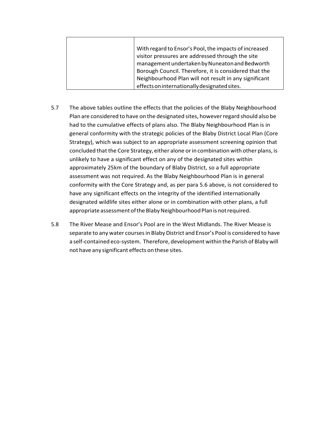| With regard to Ensor's Pool, the impacts of increased |
|-------------------------------------------------------|
| visitor pressures are addressed through the site      |
| management undertaken by Nuneaton and Bedworth        |
| Borough Council. Therefore, it is considered that the |
| Neighbourhood Plan will not result in any significant |
| effects on internationally designated sites.          |

- 5.7 The above tables outline the effects that the policies of the Blaby Neighbourhood Plan are considered to have on the designated sites, however regard should also be had to the cumulative effects of plans also. The Blaby Neighbourhood Plan is in general conformity with the strategic policies of the Blaby District Local Plan (Core Strategy), which was subject to an appropriate assessment screening opinion that concluded that the Core Strategy, either alone or in combination with other plans, is unlikely to have a significant effect on any of the designated sites within approximately 25km of the boundary of Blaby District, so a full appropriate assessment was not required. As the Blaby Neighbourhood Plan is in general conformity with the Core Strategy and, as per para 5.6 above, is not considered to have any significant effects on the integrity of the identified internationally designated wildlife sites either alone or in combination with other plans, a full appropriate assessment of the Blaby Neighbourhood Plan is not required.
- 5.8 The River Mease and Ensor's Pool are in the West Midlands. The River Mease is separate to any water coursesin Blaby District and Ensor's Pool is considered to have a self-contained eco-system. Therefore, development within the Parish of Blaby will not have any significant effects on these sites.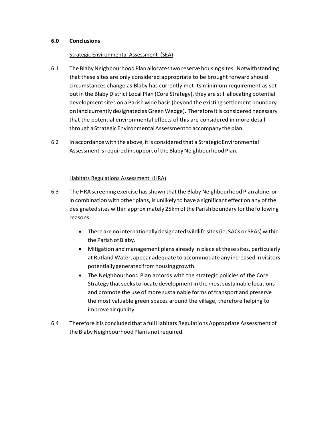#### **6.0 Conclusions**

#### Strategic Environmental Assessment (SEA)

- 6.1 The BlabyNeighbourhood Plan allocatestwo reserve housing sites. Notwithstanding that these sites are only considered appropriate to be brought forward should circumstances change as Blaby has currently met its minimum requirement as set out in the Blaby District Local Plan (Core Strategy), they are still allocating potential development sites on a Parish wide basis (beyond the existing settlement boundary on land currently designated as Green Wedge). Therefore itis considered necessary that the potential environmental effects of this are considered in more detail through a Strategic Environmental Assessment to accompany the plan.
- 6.2 In accordance with the above, itis considered that a Strategic Environmental Assessment is required in support of the Blaby Neighbourhood Plan.

#### Habitats Regulations Assessment (HRA)

- 6.3 The HRA screening exercise hasshown thatthe Blaby Neighbourhood Plan alone, or in combination with other plans, is unlikely to have a significant effect on any of the designated sites within approximately 25km of the Parish boundary for the following reasons:
	- There are no internationally designated wildlife sites (ie, SACs or SPAs) within the Parish of Blaby.
	- Mitigation and management plans already in place at these sites, particularly at Rutland Water, appear adequate to accommodate any increased in visitors potentiallygeneratedfromhousinggrowth.
	- The Neighbourhood Plan accords with the strategic policies of the Core Strategy that seeks to locate development in the most sustainable locations and promote the use of more sustainable forms of transport and preserve the most valuable green spaces around the village, therefore helping to improve air quality.
- 6.4 Therefore itis concluded that a fullHabitats Regulations Appropriate Assessment of the Blaby Neighbourhood Plan is not required.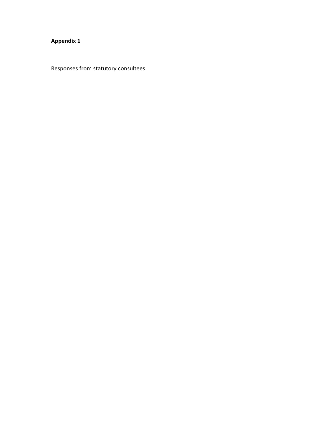## **Appendix 1**

Responses from statutory consultees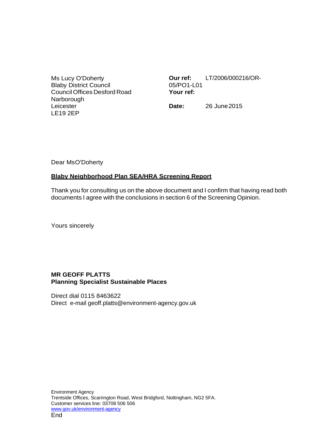Ms Lucy O'Doherty Blaby District Council Council Offices Desford Road Narborough Leicester LE19 2EP

**Our ref:** LT/2006/000216/OR-05/PO1-L01 **Your ref:**

**Date:** 26 June2015

Dear MsO'Doherty

#### **Blaby Neighborhood Plan SEA/HRA Screening Report**

Thank you for consulting us on the above document and I confirm that having read both documents I agree with the conclusions in section 6 of the Screening Opinion.

Yours sincerely

#### **MR GEOFF PLATTS Planning Specialist Sustainable Places**

Direct dial 0115 8463622 Direct e-mail [geoff.platts@environment-agency.gov.uk](mailto:geoff.platts@environment-agency.gov.uk)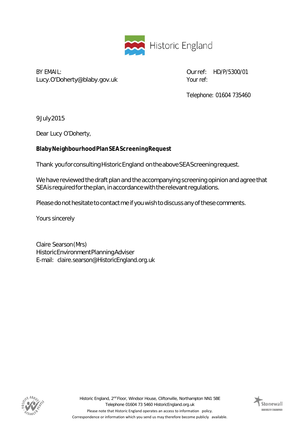

BY EMAIL: [Lucy.O'Doherty@blaby.gov.uk](mailto:Lucy.O%27Doherty@blaby.gov.uk) Ourref: HD/P/5300/01 Your ref:

Telephone: 01604 735460

9July2015

Dear Lucy O'Doherty,

# **BlabyNeighbourhoodPlanSEAScreeningRequest**

Thank youforconsultingHistoricEngland ontheaboveSEAScreeningrequest.

We have reviewed the draft plan and the accompanying screening opinion and agree that SEA is required for the plan, in accordance with the relevant regulations.

Please do not hesitate to contact me if you wish to discuss any of these comments.

Yours sincerely

Claire Searson(Mrs) HistoricEnvironmentPlanningAdviser E-mail: [claire.searson@HistoricEngland.org.uk](mailto:claire.searson@HistoricEngland.org.uk)



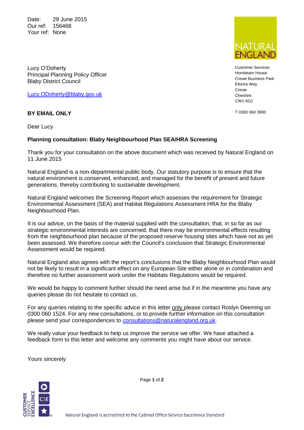Date: 29 June 2015 Our ref: 156468 Your ref: None



Customer Services Hornbeam House Crewe Business Park Electra Way Crewe Cheshire CW1 6GJ

T 0300 060 3900

Lucy O'Doherty Principal Planning Policy Officer Blaby District Council

Lucy.ODoherty@blaby.gov.uk

# **BY EMAIL ONLY**

Dear Lucy

# **Planning consultation: Blaby Neighbourhood Plan SEA/HRA Screening**

Thank you for your consultation on the above document which was received by Natural England on 11 June 2015

Natural England is a non-departmental public body. Our statutory purpose is to ensure that the natural environment is conserved, enhanced, and managed for the benefit of present and future generations, thereby contributing to sustainable development.

Natural England welcomes the Screening Report which assesses the requirement for Strategic Environmental Assessment (SEA) and Habitat Regulations Assessment HRA for the Blaby Neighbourhood Plan.

It is our advice, on the basis of the material supplied with the consultation, that, in so far as our strategic environmental interests are concerned, that there may be environmental effects resulting from the neighbourhood plan because of the proposed reserve housing sites which have not as yet been assessed. We therefore concur with the Council's conclusion that Strategic Environmental Assessment would be required.

Natural England also agrees with the report's conclusions that the Blaby Neighbourhood Plan would not be likely to result in a significant effect on any European Site either alone or in combination and therefore no further assessment work under the Habitats Regulations would be required.

We would be happy to comment further should the need arise but if in the meantime you have any queries please do not hesitate to contact us.

For any queries relating to the specific advice in this letter only please contact Roslyn Deeming on 0300 060 1524. For any new consultations, or to provide further information on this consultation please send your correspondences to **consultations@naturalengland.org.uk.** 

We really value your feedback to help us improve the service we offer. We have attached a feedback form to this letter and welcome any comments you might have about our service.

Yours sincerely



Page **1** of **2**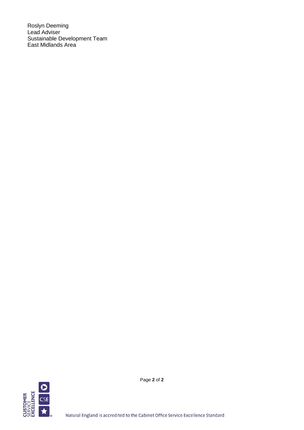Roslyn Deeming Lead Adviser Sustainable Development Team East Midlands Area



Page **2** of **2**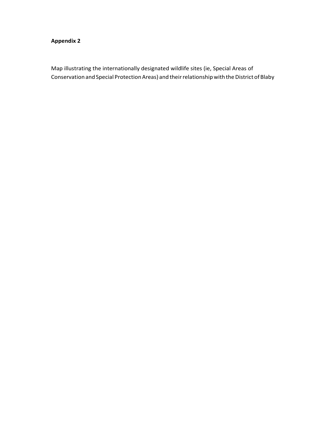## **Appendix 2**

Map illustrating the internationally designated wildlife sites (ie, Special Areas of Conservation and Special Protection Areas) and their relationship with the District of Blaby